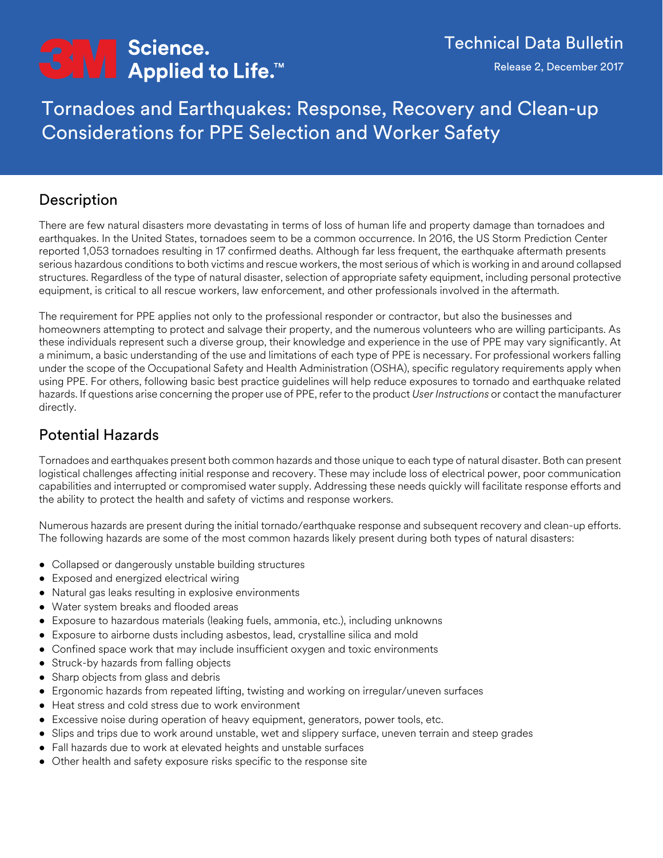# <del>C</del>N∏ Science.<br>
Applied to Life.™

Tornadoes and Earthquakes: Response, Recovery and Clean-up Considerations for PPE Selection and Worker Safety

# Description

There are few natural disasters more devastating in terms of loss of human life and property damage than tornadoes and earthquakes. In the United States, tornadoes seem to be a common occurrence. In 2016, the US Storm Prediction Center reported 1,053 tornadoes resulting in 17 confirmed deaths. Although far less frequent, the earthquake aftermath presents serious hazardous conditions to both victims and rescue workers, the most serious of which is working in and around collapsed structures. Regardless of the type of natural disaster, selection of appropriate safety equipment, including personal protective equipment, is critical to all rescue workers, law enforcement, and other professionals involved in the aftermath.

The requirement for PPE applies not only to the professional responder or contractor, but also the businesses and homeowners attempting to protect and salvage their property, and the numerous volunteers who are willing participants. As these individuals represent such a diverse group, their knowledge and experience in the use of PPE may vary significantly. At a minimum, a basic understanding of the use and limitations of each type of PPE is necessary. For professional workers falling under the scope of the Occupational Safety and Health Administration (OSHA), specific regulatory requirements apply when using PPE. For others, following basic best practice guidelines will help reduce exposures to tornado and earthquake related hazards. If questions arise concerning the proper use of PPE, refer to the product *User Instructions* or contact the manufacturer directly.

# Potential Hazards

Tornadoes and earthquakes present both common hazards and those unique to each type of natural disaster. Both can present logistical challenges affecting initial response and recovery. These may include loss of electrical power, poor communication capabilities and interrupted or compromised water supply. Addressing these needs quickly will facilitate response efforts and the ability to protect the health and safety of victims and response workers.

Numerous hazards are present during the initial tornado/earthquake response and subsequent recovery and clean-up efforts. The following hazards are some of the most common hazards likely present during both types of natural disasters:

- Collapsed or dangerously unstable building structures
- Exposed and energized electrical wiring
- Natural gas leaks resulting in explosive environments
- Water system breaks and flooded areas
- Exposure to hazardous materials (leaking fuels, ammonia, etc.), including unknowns
- Exposure to airborne dusts including asbestos, lead, crystalline silica and mold
- Confined space work that may include insufficient oxygen and toxic environments
- Struck-by hazards from falling objects
- Sharp objects from glass and debris
- Ergonomic hazards from repeated lifting, twisting and working on irregular/uneven surfaces
- Heat stress and cold stress due to work environment
- Excessive noise during operation of heavy equipment, generators, power tools, etc.
- Slips and trips due to work around unstable, wet and slippery surface, uneven terrain and steep grades
- Fall hazards due to work at elevated heights and unstable surfaces
- Other health and safety exposure risks specific to the response site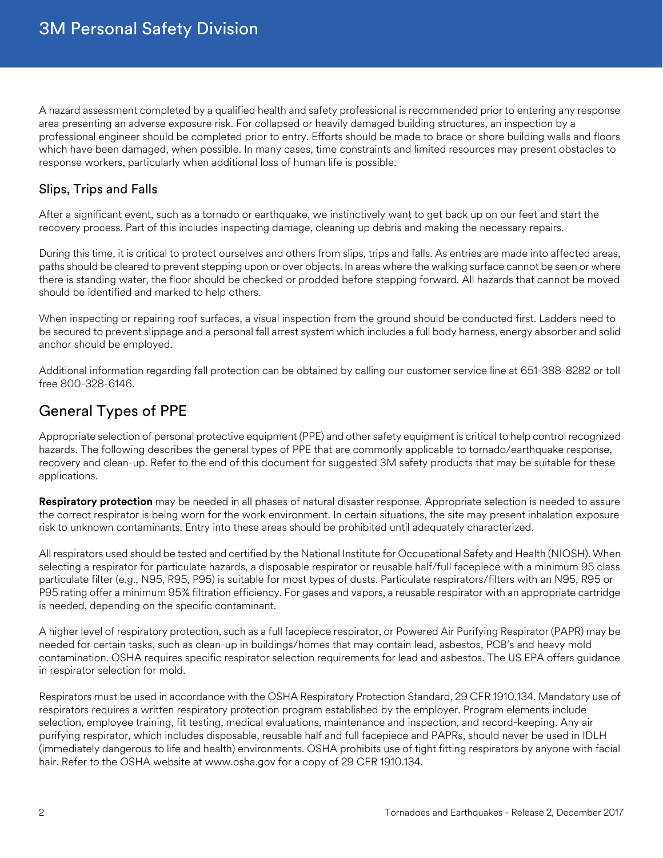A hazard assessment completed by a qualified health and safety professional is recommended prior to entering any response area presenting an adverse exposure risk. For collapsed or heavily damaged building structures, an inspection by a professional engineer should be completed prior to entry. Efforts should be made to brace or shore building walls and floors which have been damaged, when possible. In many cases, time constraints and limited resources may present obstacles to response workers, particularly when additional loss of human life is possible.

## Slips, Trips and Falls

After a significant event, such as a tornado or earthquake, we instinctively want to get back up on our feet and start the recovery process. Part of this includes inspecting damage, cleaning up debris and making the necessary repairs.

During this time, it is critical to protect ourselves and others from slips, trips and falls. As entries are made into affected areas, paths should be cleared to prevent stepping upon or over objects. In areas where the walking surface cannot be seen or where there is standing water, the floor should be checked or prodded before stepping forward. All hazards that cannot be moved should be identified and marked to help others.

When inspecting or repairing roof surfaces, a visual inspection from the ground should be conducted first. Ladders need to be secured to prevent slippage and a personal fall arrest system which includes a full body harness, energy absorber and solid anchor should be employed.

Additional information regarding fall protection can be obtained by calling our customer service line at 651-388-8282 or toll free 800-328-6146.

## General Types of PPE

Appropriate selection of personal protective equipment (PPE) and other safety equipment is critical to help control recognized hazards. The following describes the general types of PPE that are commonly applicable to tornado/earthquake response, recovery and clean-up. Refer to the end of this document for suggested 3M safety products that may be suitable for these applications.

**Respiratory protection** may be needed in all phases of natural disaster response. Appropriate selection is needed to assure the correct respirator is being worn for the work environment. In certain situations, the site may present inhalation exposure risk to unknown contaminants. Entry into these areas should be prohibited until adequately characterized.

All respirators used should be tested and certified by the National Institute for Occupational Safety and Health (NIOSH). When selecting a respirator for particulate hazards, a disposable respirator or reusable half/full facepiece with a minimum 95 class particulate filter (e.g., N95, R95, P95) is suitable for most types of dusts. Particulate respirators/filters with an N95, R95 or P95 rating offer a minimum 95% filtration efficiency. For gases and vapors, a reusable respirator with an appropriate cartridge is needed, depending on the specific contaminant.

A higher level of respiratory protection, such as a full facepiece respirator, or Powered Air Purifying Respirator (PAPR) may be needed for certain tasks, such as clean-up in buildings/homes that may contain lead, asbestos, PCB's and heavy mold contamination. OSHA requires specific respirator selection requirements for lead and asbestos. The US EPA offers guidance in respirator selection for mold.

Respirators must be used in accordance with the OSHA Respiratory Protection Standard, 29 CFR 1910.134. Mandatory use of respirators requires a written respiratory protection program established by the employer. Program elements include selection, employee training, fit testing, medical evaluations, maintenance and inspection, and record-keeping. Any air purifying respirator, which includes disposable, reusable half and full facepiece and PAPRs, should never be used in IDLH (immediately dangerous to life and health) environments. OSHA prohibits use of tight fitting respirators by anyone with facial hair. Refer to the OSHA website at www.osha.gov for a copy of 29 CFR 1910.134.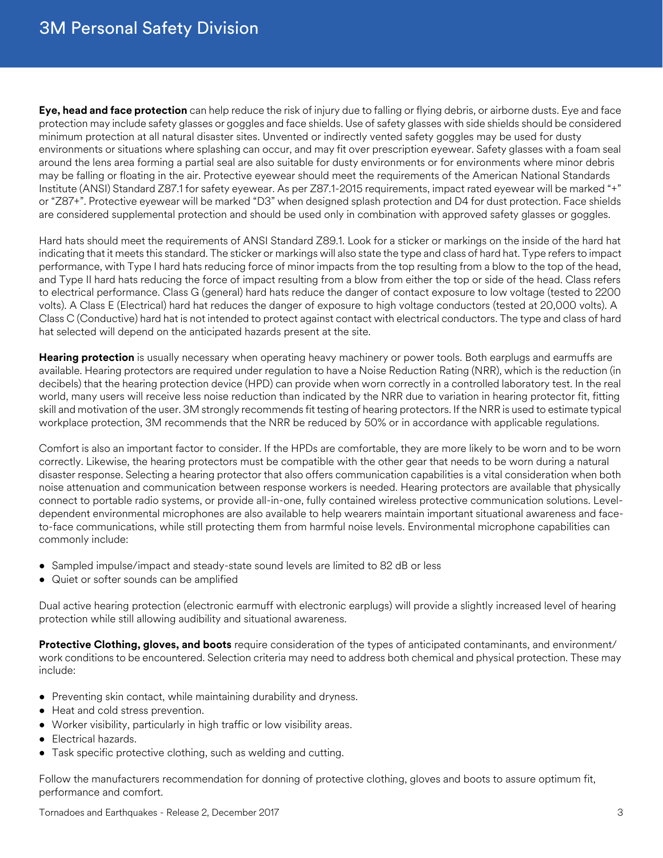**Eye, head and face protection** can help reduce the risk of injury due to falling or flying debris, or airborne dusts. Eye and face protection may include safety glasses or goggles and face shields. Use of safety glasses with side shields should be considered minimum protection at all natural disaster sites. Unvented or indirectly vented safety goggles may be used for dusty environments or situations where splashing can occur, and may fit over prescription eyewear. Safety glasses with a foam seal around the lens area forming a partial seal are also suitable for dusty environments or for environments where minor debris may be falling or floating in the air. Protective eyewear should meet the requirements of the American National Standards Institute (ANSI) Standard Z87.1 for safety eyewear. As per Z87.1-2015 requirements, impact rated eyewear will be marked "+" or "Z87+". Protective eyewear will be marked "D3" when designed splash protection and D4 for dust protection. Face shields are considered supplemental protection and should be used only in combination with approved safety glasses or goggles.

Hard hats should meet the requirements of ANSI Standard Z89.1. Look for a sticker or markings on the inside of the hard hat indicating that it meets this standard. The sticker or markings will also state the type and class of hard hat. Type refers to impact performance, with Type I hard hats reducing force of minor impacts from the top resulting from a blow to the top of the head, and Type II hard hats reducing the force of impact resulting from a blow from either the top or side of the head. Class refers to electrical performance. Class G (general) hard hats reduce the danger of contact exposure to low voltage (tested to 2200 volts). A Class E (Electrical) hard hat reduces the danger of exposure to high voltage conductors (tested at 20,000 volts). A Class C (Conductive) hard hat is not intended to protect against contact with electrical conductors. The type and class of hard hat selected will depend on the anticipated hazards present at the site.

**Hearing protection** is usually necessary when operating heavy machinery or power tools. Both earplugs and earmuffs are available. Hearing protectors are required under regulation to have a Noise Reduction Rating (NRR), which is the reduction (in decibels) that the hearing protection device (HPD) can provide when worn correctly in a controlled laboratory test. In the real world, many users will receive less noise reduction than indicated by the NRR due to variation in hearing protector fit, fitting skill and motivation of the user. 3M strongly recommends fit testing of hearing protectors. If the NRR is used to estimate typical workplace protection, 3M recommends that the NRR be reduced by 50% or in accordance with applicable regulations.

Comfort is also an important factor to consider. If the HPDs are comfortable, they are more likely to be worn and to be worn correctly. Likewise, the hearing protectors must be compatible with the other gear that needs to be worn during a natural disaster response. Selecting a hearing protector that also offers communication capabilities is a vital consideration when both noise attenuation and communication between response workers is needed. Hearing protectors are available that physically connect to portable radio systems, or provide all-in-one, fully contained wireless protective communication solutions. Leveldependent environmental microphones are also available to help wearers maintain important situational awareness and faceto-face communications, while still protecting them from harmful noise levels. Environmental microphone capabilities can commonly include:

- Sampled impulse/impact and steady-state sound levels are limited to 82 dB or less
- Quiet or softer sounds can be amplified

Dual active hearing protection (electronic earmuff with electronic earplugs) will provide a slightly increased level of hearing protection while still allowing audibility and situational awareness.

**Protective Clothing, gloves, and boots** require consideration of the types of anticipated contaminants, and environment/ work conditions to be encountered. Selection criteria may need to address both chemical and physical protection. These may include:

- Preventing skin contact, while maintaining durability and dryness.
- Heat and cold stress prevention.
- Worker visibility, particularly in high traffic or low visibility areas.
- Electrical hazards.
- Task specific protective clothing, such as welding and cutting.

Follow the manufacturers recommendation for donning of protective clothing, gloves and boots to assure optimum fit, performance and comfort.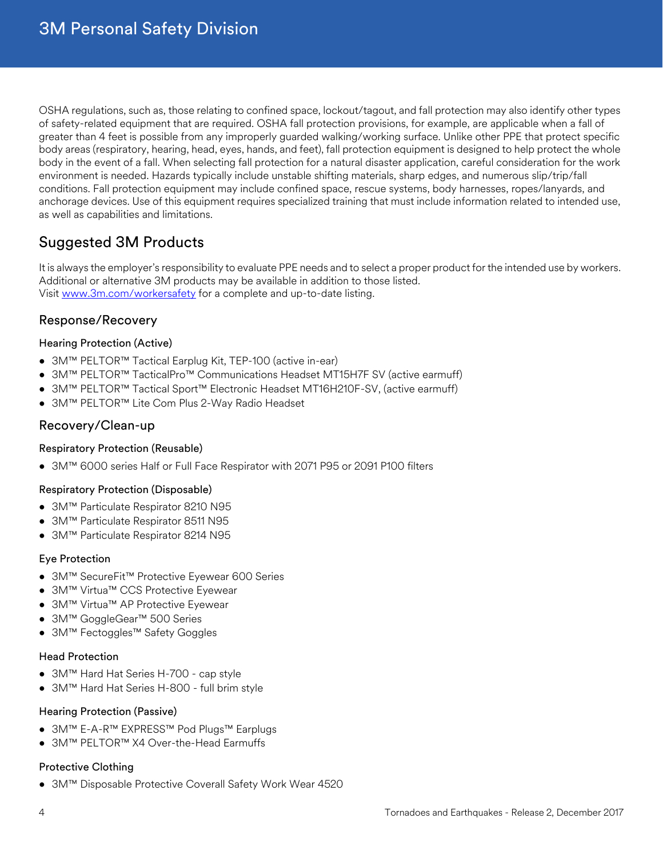OSHA regulations, such as, those relating to confined space, lockout/tagout, and fall protection may also identify other types of safety-related equipment that are required. OSHA fall protection provisions, for example, are applicable when a fall of greater than 4 feet is possible from any improperly guarded walking/working surface. Unlike other PPE that protect specific body areas (respiratory, hearing, head, eyes, hands, and feet), fall protection equipment is designed to help protect the whole body in the event of a fall. When selecting fall protection for a natural disaster application, careful consideration for the work environment is needed. Hazards typically include unstable shifting materials, sharp edges, and numerous slip/trip/fall conditions. Fall protection equipment may include confined space, rescue systems, body harnesses, ropes/lanyards, and anchorage devices. Use of this equipment requires specialized training that must include information related to intended use, as well as capabilities and limitations.

# Suggested 3M Products

It is always the employer's responsibility to evaluate PPE needs and to select a proper product for the intended use by workers. Additional or alternative 3M products may be available in addition to those listed. Visit<www.3m.com/workersafety>for a complete and up-to-date listing.

## Response/Recovery

#### Hearing Protection (Active)

- 3M™ PELTOR™ Tactical Earplug Kit, TEP-100 (active in-ear)
- 3M™ PELTOR™ TacticalPro™ Communications Headset MT15H7F SV (active earmuff)
- 3M™ PELTOR™ Tactical Sport™ Electronic Headset MT16H210F-SV, (active earmuff)
- 3M™ PELTOR™ Lite Com Plus 2-Way Radio Headset

### Recovery/Clean-up

#### Respiratory Protection (Reusable)

• 3M™ 6000 series Half or Full Face Respirator with 2071 P95 or 2091 P100 filters

#### Respiratory Protection (Disposable)

- 3M™ Particulate Respirator 8210 N95
- 3M™ Particulate Respirator 8511 N95
- 3M™ Particulate Respirator 8214 N95

#### Eye Protection

- 3M™ SecureFit™ Protective Eyewear 600 Series
- 3M™ Virtua™ CCS Protective Eyewear
- 3M™ Virtua™ AP Protective Eyewear
- 3M™ GoggleGear™ 500 Series
- 3M™ Fectoggles™ Safety Goggles

#### Head Protection

- 3M™ Hard Hat Series H-700 cap style
- 3M™ Hard Hat Series H-800 full brim style

#### Hearing Protection (Passive)

- 3M™ E-A-R™ EXPRESS™ Pod Plugs™ Earplugs
- 3M™ PELTOR™ X4 Over-the-Head Earmuffs

#### Protective Clothing

• 3M™ Disposable Protective Coverall Safety Work Wear 4520